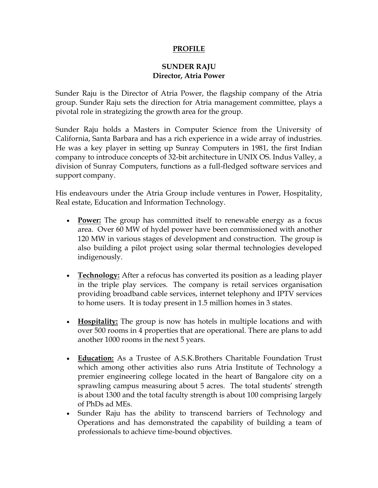## **PROFILE**

## **SUNDER RAJU Director, Atria Power**

Sunder Raju is the Director of Atria Power, the flagship company of the Atria group. Sunder Raju sets the direction for Atria management committee, plays a pivotal role in strategizing the growth area for the group.

Sunder Raju holds a Masters in Computer Science from the University of California, Santa Barbara and has a rich experience in a wide array of industries. He was a key player in setting up Sunray Computers in 1981, the first Indian company to introduce concepts of 32-bit architecture in UNIX OS. Indus Valley, a division of Sunray Computers, functions as a full-fledged software services and support company.

His endeavours under the Atria Group include ventures in Power, Hospitality, Real estate, Education and Information Technology.

- **Power:** The group has committed itself to renewable energy as a focus area. Over 60 MW of hydel power have been commissioned with another 120 MW in various stages of development and construction. The group is also building a pilot project using solar thermal technologies developed indigenously.
- **Technology:** After a refocus has converted its position as a leading player in the triple play services. The company is retail services organisation providing broadband cable services, internet telephony and IPTV services to home users. It is today present in 1.5 million homes in 3 states.
- **Hospitality:** The group is now has hotels in multiple locations and with over 500 rooms in 4 properties that are operational. There are plans to add another 1000 rooms in the next 5 years.
- **Education:** As a Trustee of A.S.K.Brothers Charitable Foundation Trust which among other activities also runs Atria Institute of Technology a premier engineering college located in the heart of Bangalore city on a sprawling campus measuring about 5 acres. The total students' strength is about 1300 and the total faculty strength is about 100 comprising largely of PhDs ad MEs.
- Sunder Raju has the ability to transcend barriers of Technology and Operations and has demonstrated the capability of building a team of professionals to achieve time-bound objectives.